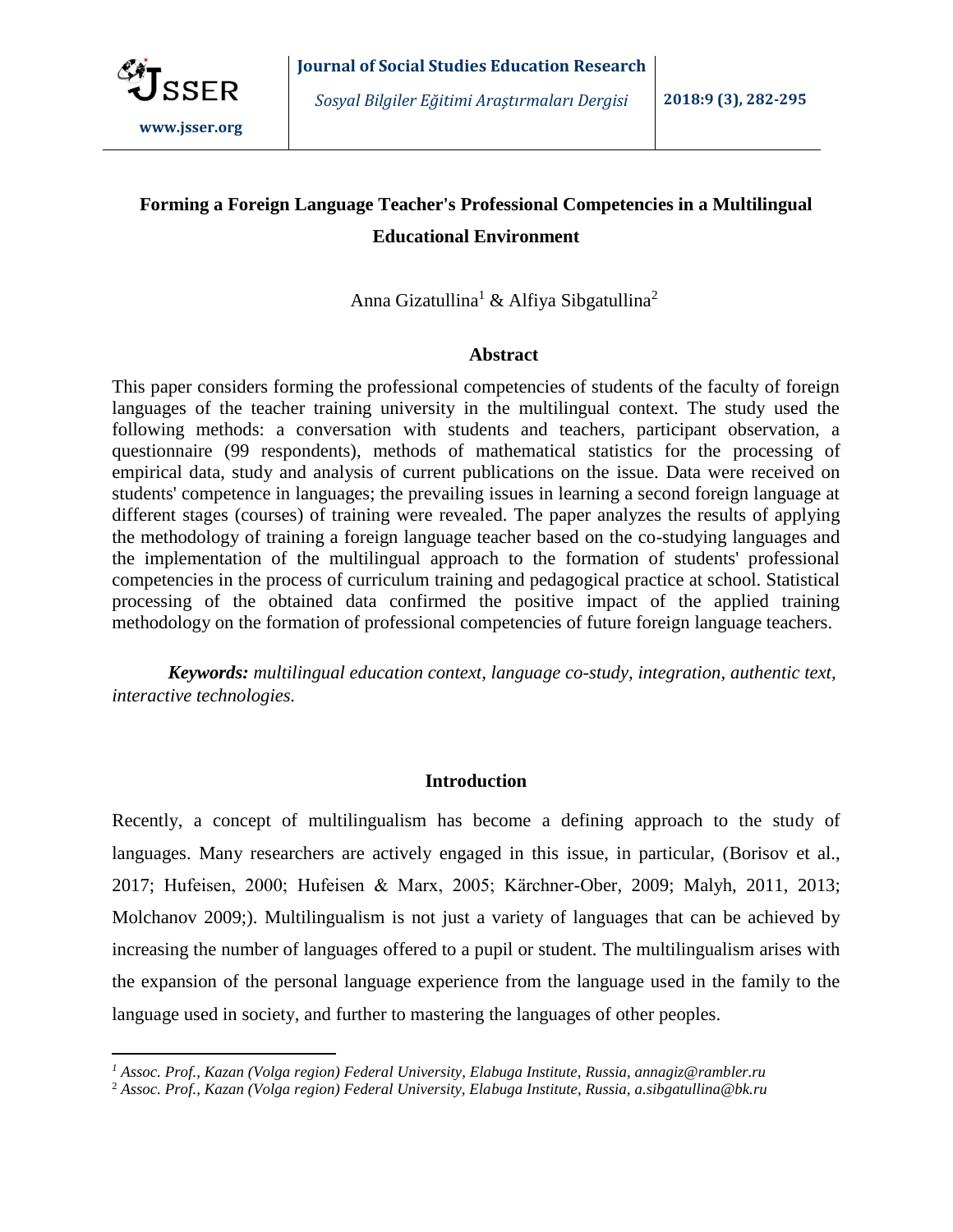

 $\overline{a}$ 

*Sosyal Bilgiler Eğitimi Araştırmaları Dergisi* **2018:9 (3), 282-295**

# **Forming a Foreign Language Teacher's Professional Competencies in a Multilingual Educational Environment**

Anna Gizatullina<sup>1</sup> & Alfiya Sibgatullina<sup>2</sup>

# **Abstract**

This paper considers forming the professional competencies of students of the faculty of foreign languages of the teacher training university in the multilingual context. The study used the following methods: a conversation with students and teachers, participant observation, a questionnaire (99 respondents), methods of mathematical statistics for the processing of empirical data, study and analysis of current publications on the issue. Data were received on students' competence in languages; the prevailing issues in learning a second foreign language at different stages (courses) of training were revealed. The paper analyzes the results of applying the methodology of training a foreign language teacher based on the co-studying languages and the implementation of the multilingual approach to the formation of students' professional competencies in the process of curriculum training and pedagogical practice at school. Statistical processing of the obtained data confirmed the positive impact of the applied training methodology on the formation of professional competencies of future foreign language teachers.

*Keywords: multilingual education context, language co-study, integration, authentic text, interactive technologies.*

# **Introduction**

Recently, a concept of multilingualism has become a defining approach to the study of languages. Many researchers are actively engaged in this issue, in particular, (Borisov et al., 2017; Hufeisen, 2000; Hufeisen & Marx, 2005; Kärchner-Ober, 2009; Malyh, 2011, 2013; Molchanov 2009;). Multilingualism is not just a variety of languages that can be achieved by increasing the number of languages offered to a pupil or student. The multilingualism arises with the expansion of the personal language experience from the language used in the family to the language used in society, and further to mastering the languages of other peoples.

*<sup>1</sup> Assoc. Prof., Kazan (Volga region) Federal University, Elabuga Institute, Russia, annagiz@rambler.ru*

<sup>2</sup> *Assoc. Prof., Kazan (Volga region) Federal University, Elabuga Institute, Russia, a.sibgatullina@bk.ru*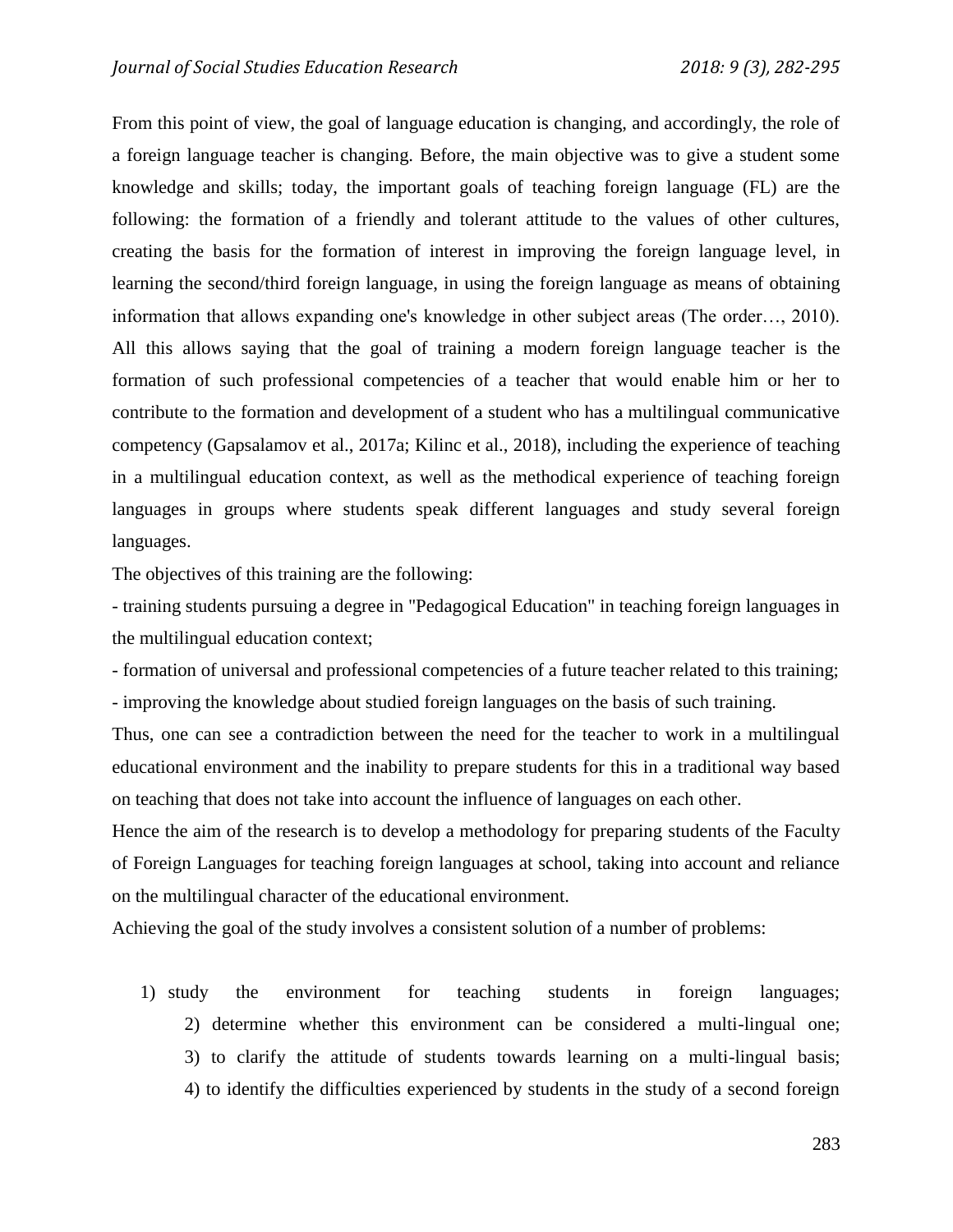From this point of view, the goal of language education is changing, and accordingly, the role of a foreign language teacher is changing. Before, the main objective was to give a student some knowledge and skills; today, the important goals of teaching foreign language (FL) are the following: the formation of a friendly and tolerant attitude to the values of other cultures, creating the basis for the formation of interest in improving the foreign language level, in learning the second/third foreign language, in using the foreign language as means of obtaining information that allows expanding one's knowledge in other subject areas (The order…, 2010). All this allows saying that the goal of training a modern foreign language teacher is the formation of such professional competencies of a teacher that would enable him or her to contribute to the formation and development of a student who has a multilingual communicative competency (Gapsalamov et al., 2017a; Kilinc et al., 2018), including the experience of teaching in a multilingual education context, as well as the methodical experience of teaching foreign languages in groups where students speak different languages and study several foreign languages.

The objectives of this training are the following:

- training students pursuing a degree in "Pedagogical Education" in teaching foreign languages in the multilingual education context;

- formation of universal and professional competencies of a future teacher related to this training; - improving the knowledge about studied foreign languages on the basis of such training.

Thus, one can see a contradiction between the need for the teacher to work in a multilingual educational environment and the inability to prepare students for this in a traditional way based on teaching that does not take into account the influence of languages on each other.

Hence the aim of the research is to develop a methodology for preparing students of the Faculty of Foreign Languages for teaching foreign languages at school, taking into account and reliance on the multilingual character of the educational environment.

Achieving the goal of the study involves a consistent solution of a number of problems:

1) study the environment for teaching students in foreign languages; 2) determine whether this environment can be considered a multi-lingual one; 3) to clarify the attitude of students towards learning on a multi-lingual basis; 4) to identify the difficulties experienced by students in the study of a second foreign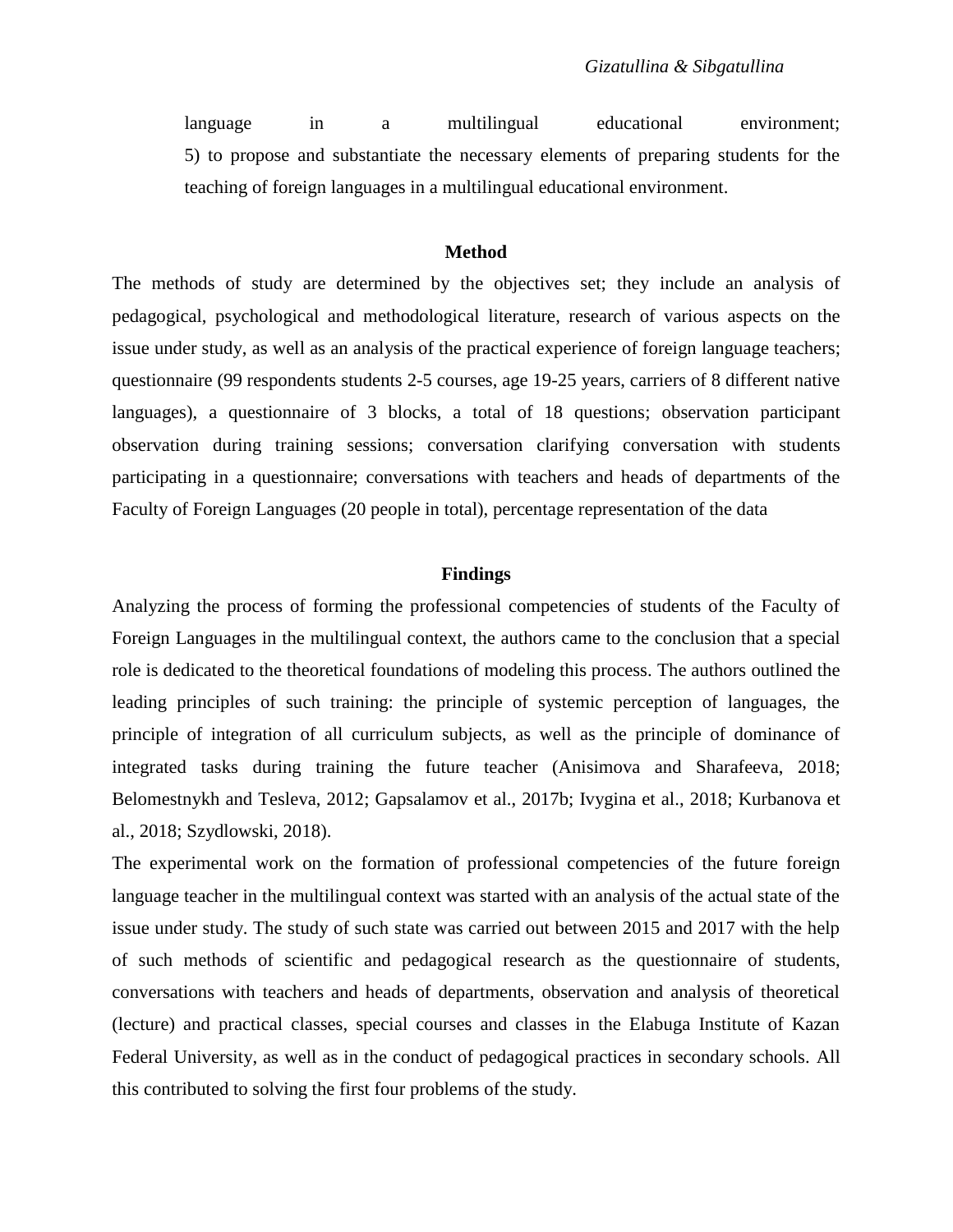language in a multilingual educational environment; 5) to propose and substantiate the necessary elements of preparing students for the teaching of foreign languages in a multilingual educational environment.

#### **Method**

The methods of study are determined by the objectives set; they include an analysis of pedagogical, psychological and methodological literature, research of various aspects on the issue under study, as well as an analysis of the practical experience of foreign language teachers; questionnaire (99 respondents students 2-5 courses, age 19-25 years, carriers of 8 different native languages), a questionnaire of 3 blocks, a total of 18 questions; observation participant observation during training sessions; conversation clarifying conversation with students participating in a questionnaire; conversations with teachers and heads of departments of the Faculty of Foreign Languages (20 people in total), percentage representation of the data

## **Findings**

Analyzing the process of forming the professional competencies of students of the Faculty of Foreign Languages in the multilingual context, the authors came to the conclusion that a special role is dedicated to the theoretical foundations of modeling this process. The authors outlined the leading principles of such training: the principle of systemic perception of languages, the principle of integration of all curriculum subjects, as well as the principle of dominance of integrated tasks during training the future teacher (Anisimova and Sharafeeva, 2018; Belomestnykh and Tesleva, 2012; Gapsalamov et al., 2017b; Ivygina et al., 2018; Kurbanova et al., 2018; Szydlowski, 2018).

The experimental work on the formation of professional competencies of the future foreign language teacher in the multilingual context was started with an analysis of the actual state of the issue under study. The study of such state was carried out between 2015 and 2017 with the help of such methods of scientific and pedagogical research as the questionnaire of students, conversations with teachers and heads of departments, observation and analysis of theoretical (lecture) and practical classes, special courses and classes in the Elabuga Institute of Kazan Federal University, as well as in the conduct of pedagogical practices in secondary schools. All this contributed to solving the first four problems of the study.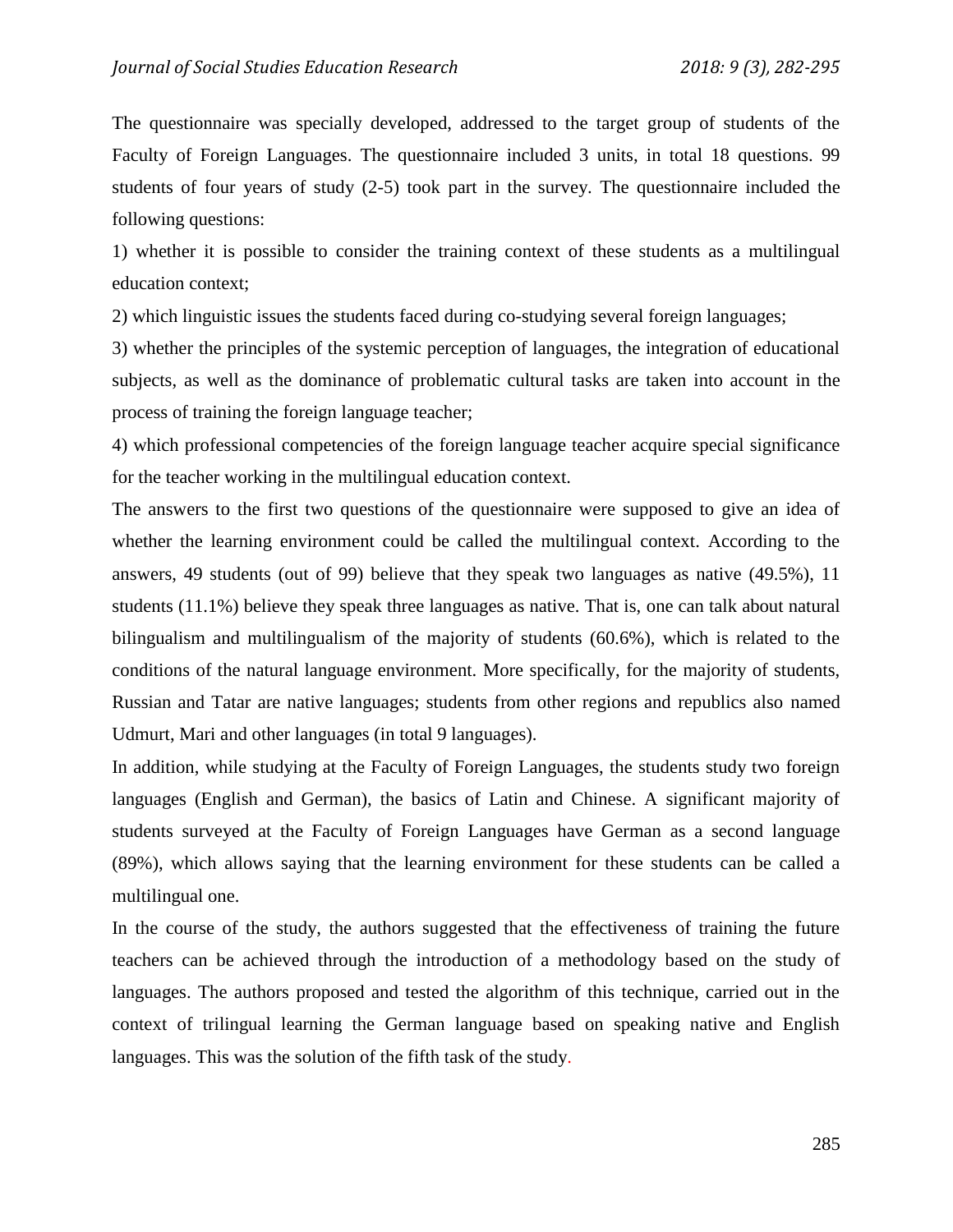The questionnaire was specially developed, addressed to the target group of students of the Faculty of Foreign Languages. The questionnaire included 3 units, in total 18 questions. 99 students of four years of study (2-5) took part in the survey. The questionnaire included the following questions:

1) whether it is possible to consider the training context of these students as a multilingual education context;

2) which linguistic issues the students faced during co-studying several foreign languages;

3) whether the principles of the systemic perception of languages, the integration of educational subjects, as well as the dominance of problematic cultural tasks are taken into account in the process of training the foreign language teacher;

4) which professional competencies of the foreign language teacher acquire special significance for the teacher working in the multilingual education context.

The answers to the first two questions of the questionnaire were supposed to give an idea of whether the learning environment could be called the multilingual context. According to the answers, 49 students (out of 99) believe that they speak two languages as native (49.5%), 11 students (11.1%) believe they speak three languages as native. That is, one can talk about natural bilingualism and multilingualism of the majority of students (60.6%), which is related to the conditions of the natural language environment. More specifically, for the majority of students, Russian and Tatar are native languages; students from other regions and republics also named Udmurt, Mari and other languages (in total 9 languages).

In addition, while studying at the Faculty of Foreign Languages, the students study two foreign languages (English and German), the basics of Latin and Chinese. A significant majority of students surveyed at the Faculty of Foreign Languages have German as a second language (89%), which allows saying that the learning environment for these students can be called a multilingual one.

In the course of the study, the authors suggested that the effectiveness of training the future teachers can be achieved through the introduction of a methodology based on the study of languages. The authors proposed and tested the algorithm of this technique, carried out in the context of trilingual learning the German language based on speaking native and English languages. This was the solution of the fifth task of the study.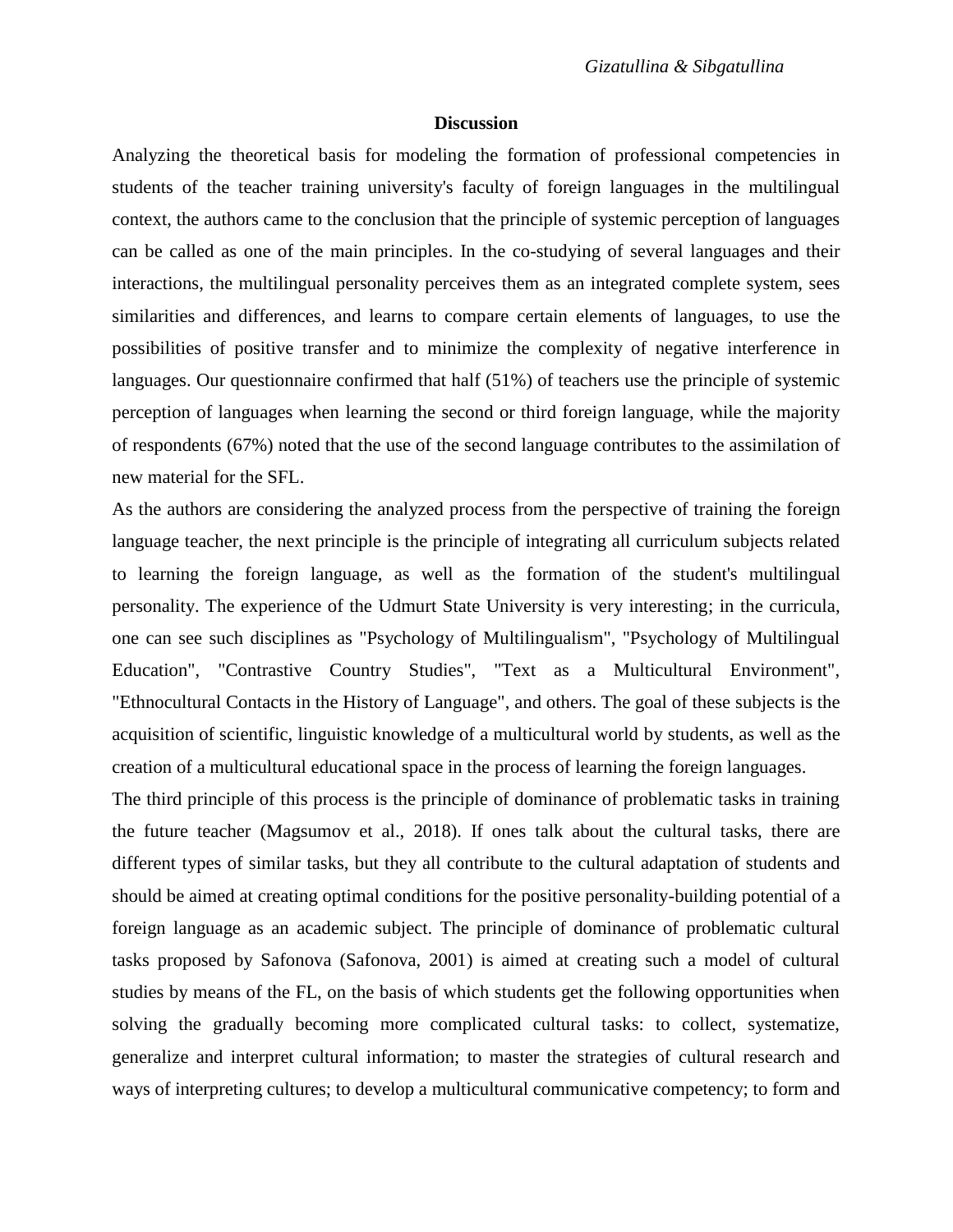### **Discussion**

Analyzing the theoretical basis for modeling the formation of professional competencies in students of the teacher training university's faculty of foreign languages in the multilingual context, the authors came to the conclusion that the principle of systemic perception of languages can be called as one of the main principles. In the co-studying of several languages and their interactions, the multilingual personality perceives them as an integrated complete system, sees similarities and differences, and learns to compare certain elements of languages, to use the possibilities of positive transfer and to minimize the complexity of negative interference in languages. Our questionnaire confirmed that half (51%) of teachers use the principle of systemic perception of languages when learning the second or third foreign language, while the majority of respondents (67%) noted that the use of the second language contributes to the assimilation of new material for the SFL.

As the authors are considering the analyzed process from the perspective of training the foreign language teacher, the next principle is the principle of integrating all curriculum subjects related to learning the foreign language, as well as the formation of the student's multilingual personality. The experience of the Udmurt State University is very interesting; in the curricula, one can see such disciplines as "Psychology of Multilingualism", "Psychology of Multilingual Education", "Contrastive Country Studies", "Text as a Multicultural Environment", "Ethnocultural Contacts in the History of Language", and others. The goal of these subjects is the acquisition of scientific, linguistic knowledge of a multicultural world by students, as well as the creation of a multicultural educational space in the process of learning the foreign languages.

The third principle of this process is the principle of dominance of problematic tasks in training the future teacher (Magsumov et al., 2018). If ones talk about the cultural tasks, there are different types of similar tasks, but they all contribute to the cultural adaptation of students and should be aimed at creating optimal conditions for the positive personality-building potential of a foreign language as an academic subject. The principle of dominance of problematic cultural tasks proposed by Safonova (Safonova, 2001) is aimed at creating such a model of cultural studies by means of the FL, on the basis of which students get the following opportunities when solving the gradually becoming more complicated cultural tasks: to collect, systematize, generalize and interpret cultural information; to master the strategies of cultural research and ways of interpreting cultures; to develop a multicultural communicative competency; to form and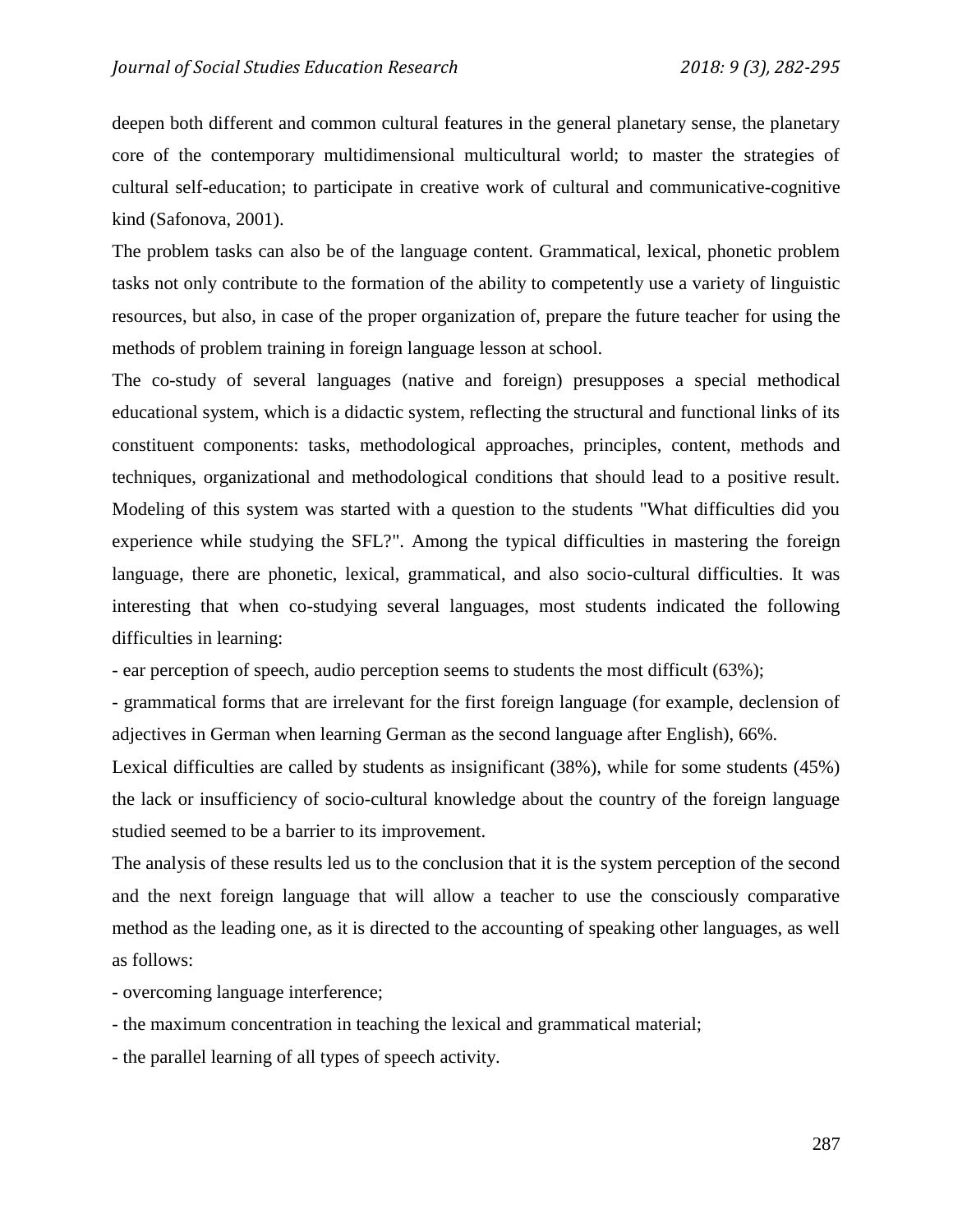deepen both different and common cultural features in the general planetary sense, the planetary core of the contemporary multidimensional multicultural world; to master the strategies of cultural self-education; to participate in creative work of cultural and communicative-cognitive kind (Safonova, 2001).

The problem tasks can also be of the language content. Grammatical, lexical, phonetic problem tasks not only contribute to the formation of the ability to competently use a variety of linguistic resources, but also, in case of the proper organization of, prepare the future teacher for using the methods of problem training in foreign language lesson at school.

The co-study of several languages (native and foreign) presupposes a special methodical educational system, which is a didactic system, reflecting the structural and functional links of its constituent components: tasks, methodological approaches, principles, content, methods and techniques, organizational and methodological conditions that should lead to a positive result. Modeling of this system was started with a question to the students "What difficulties did you experience while studying the SFL?". Among the typical difficulties in mastering the foreign language, there are phonetic, lexical, grammatical, and also socio-cultural difficulties. It was interesting that when co-studying several languages, most students indicated the following difficulties in learning:

- ear perception of speech, audio perception seems to students the most difficult (63%);

- grammatical forms that are irrelevant for the first foreign language (for example, declension of adjectives in German when learning German as the second language after English), 66%.

Lexical difficulties are called by students as insignificant (38%), while for some students (45%) the lack or insufficiency of socio-cultural knowledge about the country of the foreign language studied seemed to be a barrier to its improvement.

The analysis of these results led us to the conclusion that it is the system perception of the second and the next foreign language that will allow a teacher to use the consciously comparative method as the leading one, as it is directed to the accounting of speaking other languages, as well as follows:

- overcoming language interference;

- the maximum concentration in teaching the lexical and grammatical material;

- the parallel learning of all types of speech activity.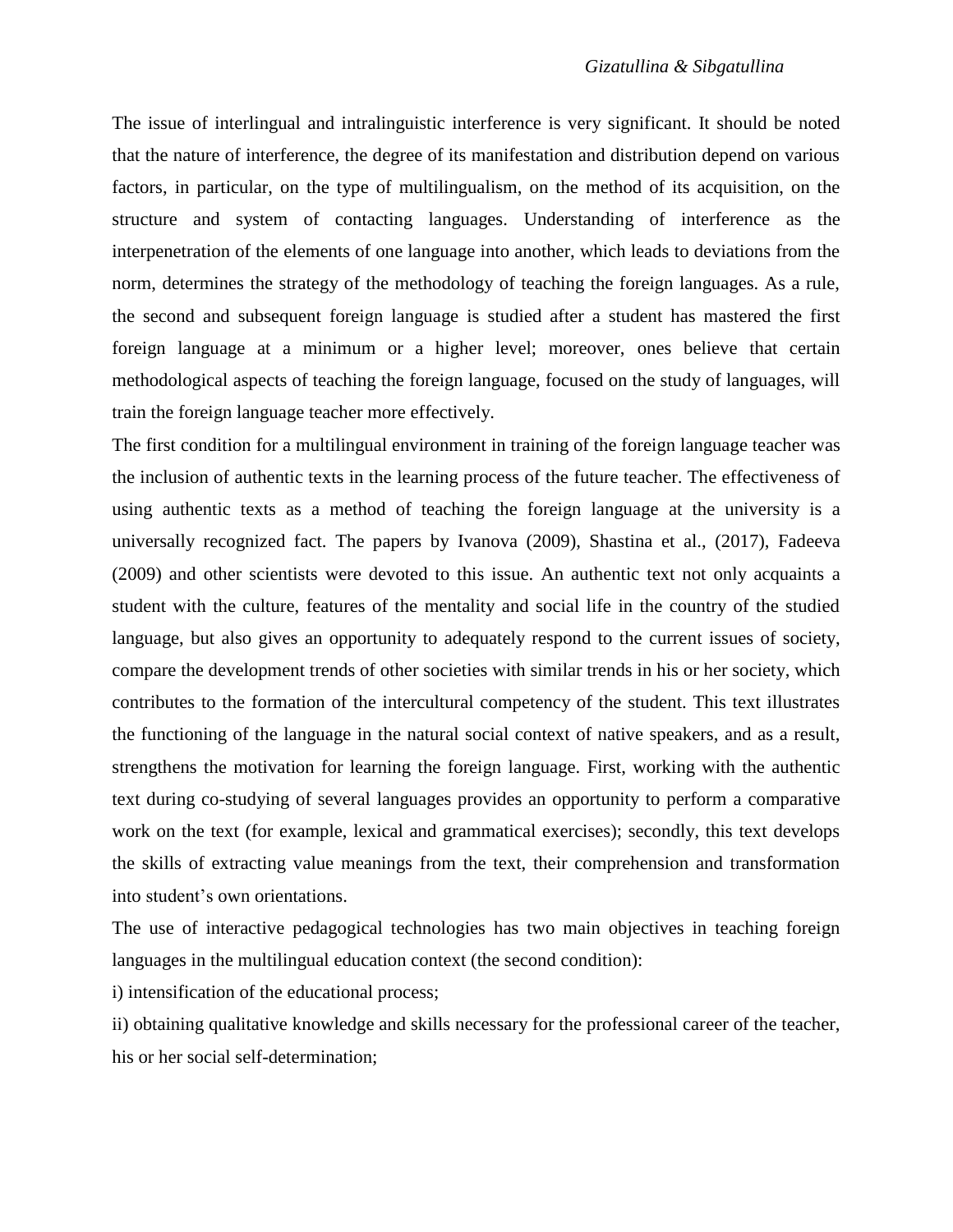The issue of interlingual and intralinguistic interference is very significant. It should be noted that the nature of interference, the degree of its manifestation and distribution depend on various factors, in particular, on the type of multilingualism, on the method of its acquisition, on the structure and system of contacting languages. Understanding of interference as the interpenetration of the elements of one language into another, which leads to deviations from the norm, determines the strategy of the methodology of teaching the foreign languages. As a rule, the second and subsequent foreign language is studied after a student has mastered the first foreign language at a minimum or a higher level; moreover, ones believe that certain methodological aspects of teaching the foreign language, focused on the study of languages, will train the foreign language teacher more effectively.

The first condition for a multilingual environment in training of the foreign language teacher was the inclusion of authentic texts in the learning process of the future teacher. The effectiveness of using authentic texts as a method of teaching the foreign language at the university is a universally recognized fact. The papers by Ivanova (2009), Shastina et al., (2017), Fadeeva (2009) and other scientists were devoted to this issue. An authentic text not only acquaints a student with the culture, features of the mentality and social life in the country of the studied language, but also gives an opportunity to adequately respond to the current issues of society, compare the development trends of other societies with similar trends in his or her society, which contributes to the formation of the intercultural competency of the student. This text illustrates the functioning of the language in the natural social context of native speakers, and as a result, strengthens the motivation for learning the foreign language. First, working with the authentic text during co-studying of several languages provides an opportunity to perform a comparative work on the text (for example, lexical and grammatical exercises); secondly, this text develops the skills of extracting value meanings from the text, their comprehension and transformation into student's own orientations.

The use of interactive pedagogical technologies has two main objectives in teaching foreign languages in the multilingual education context (the second condition):

i) intensification of the educational process;

ii) obtaining qualitative knowledge and skills necessary for the professional career of the teacher, his or her social self-determination;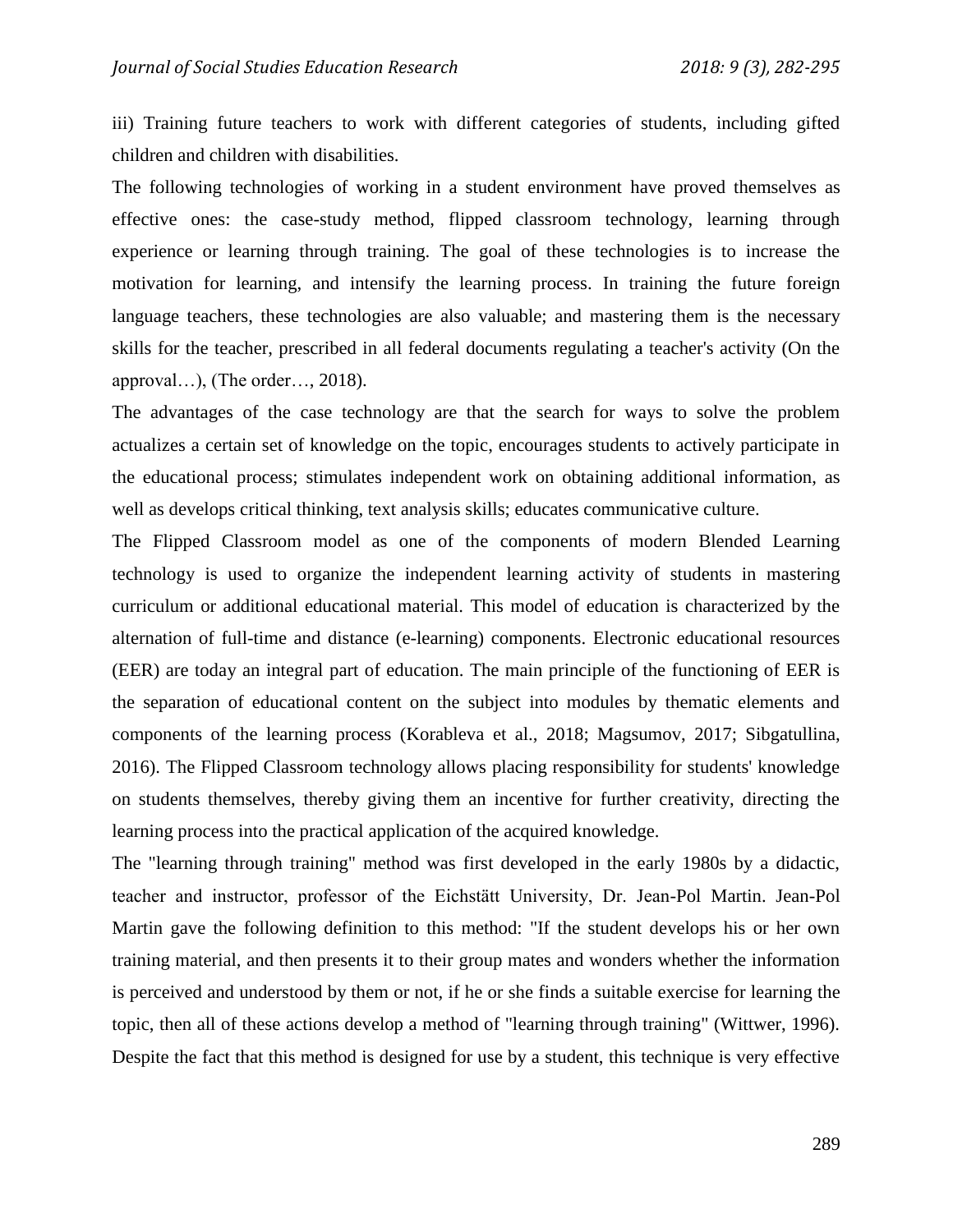iii) Training future teachers to work with different categories of students, including gifted children and children with disabilities.

The following technologies of working in a student environment have proved themselves as effective ones: the case-study method, flipped classroom technology, learning through experience or learning through training. The goal of these technologies is to increase the motivation for learning, and intensify the learning process. In training the future foreign language teachers, these technologies are also valuable; and mastering them is the necessary skills for the teacher, prescribed in all federal documents regulating a teacher's activity (On the approval…), (The order…, 2018).

The advantages of the case technology are that the search for ways to solve the problem actualizes a certain set of knowledge on the topic, encourages students to actively participate in the educational process; stimulates independent work on obtaining additional information, as well as develops critical thinking, text analysis skills; educates communicative culture.

The Flipped Classroom model as one of the components of modern Blended Learning technology is used to organize the independent learning activity of students in mastering curriculum or additional educational material. This model of education is characterized by the alternation of full-time and distance (e-learning) components. Electronic educational resources (EER) are today an integral part of education. The main principle of the functioning of EER is the separation of educational content on the subject into modules by thematic elements and components of the learning process (Korableva et al., 2018; Magsumov, 2017; Sibgatullina, 2016). The Flipped Classroom technology allows placing responsibility for students' knowledge on students themselves, thereby giving them an incentive for further creativity, directing the learning process into the practical application of the acquired knowledge.

The "learning through training" method was first developed in the early 1980s by a didactic, teacher and instructor, professor of the Eichstätt University, Dr. Jean-Pol Martin. Jean-Pol Martin gave the following definition to this method: "If the student develops his or her own training material, and then presents it to their group mates and wonders whether the information is perceived and understood by them or not, if he or she finds a suitable exercise for learning the topic, then all of these actions develop a method of "learning through training" (Wittwer, 1996). Despite the fact that this method is designed for use by a student, this technique is very effective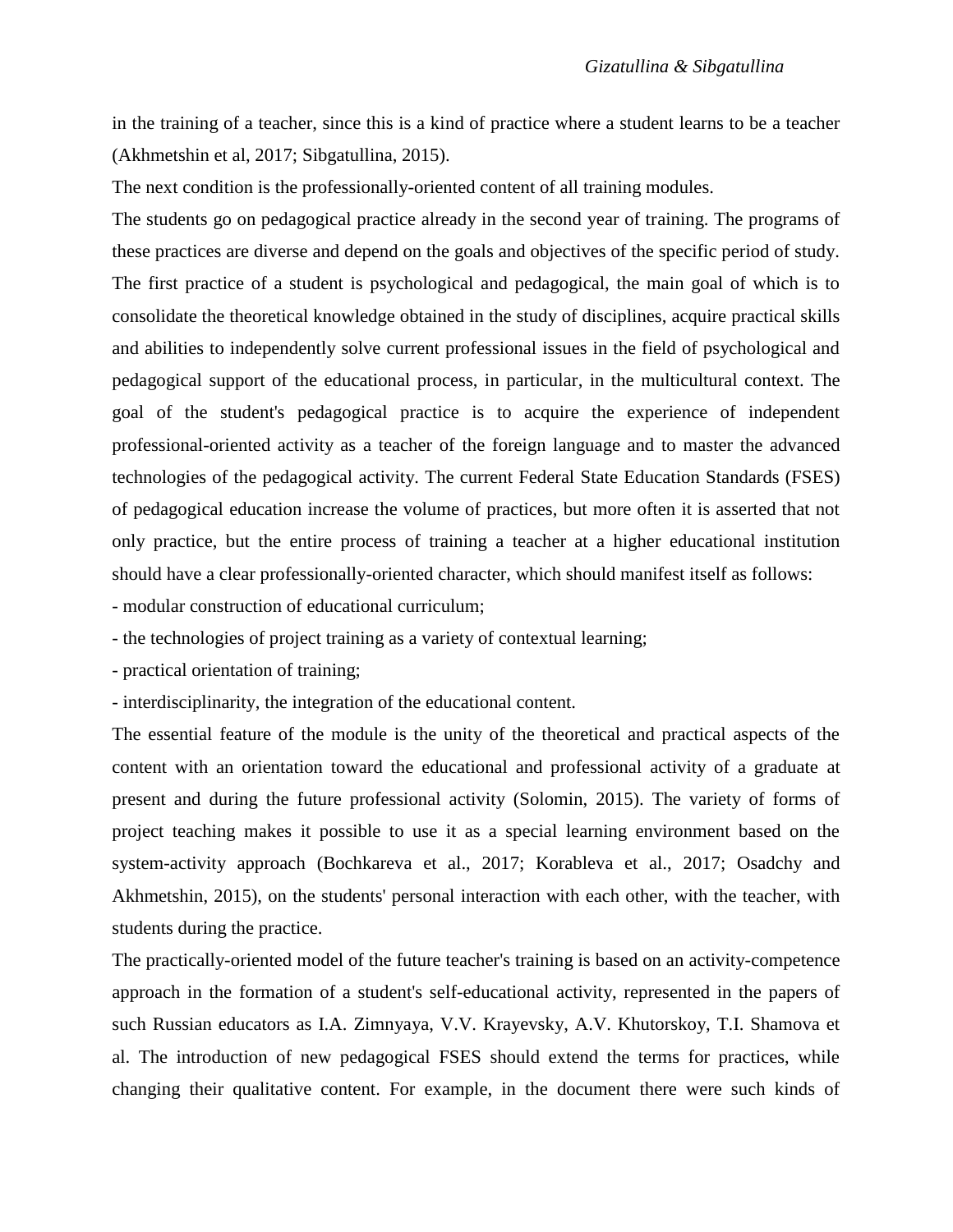in the training of a teacher, since this is a kind of practice where a student learns to be a teacher (Akhmetshin et al, 2017; Sibgatullina, 2015).

The next condition is the professionally-oriented content of all training modules.

The students go on pedagogical practice already in the second year of training. The programs of these practices are diverse and depend on the goals and objectives of the specific period of study. The first practice of a student is psychological and pedagogical, the main goal of which is to consolidate the theoretical knowledge obtained in the study of disciplines, acquire practical skills and abilities to independently solve current professional issues in the field of psychological and pedagogical support of the educational process, in particular, in the multicultural context. The goal of the student's pedagogical practice is to acquire the experience of independent professional-oriented activity as a teacher of the foreign language and to master the advanced technologies of the pedagogical activity. The current Federal State Education Standards (FSES) of pedagogical education increase the volume of practices, but more often it is asserted that not only practice, but the entire process of training a teacher at a higher educational institution should have a clear professionally-oriented character, which should manifest itself as follows:

- modular construction of educational curriculum;

- the technologies of project training as a variety of contextual learning;

- practical orientation of training;

- interdisciplinarity, the integration of the educational content.

The essential feature of the module is the unity of the theoretical and practical aspects of the content with an orientation toward the educational and professional activity of a graduate at present and during the future professional activity (Solomin, 2015). The variety of forms of project teaching makes it possible to use it as a special learning environment based on the system-activity approach (Bochkareva et al., 2017; Korableva et al., 2017; Osadchy and Akhmetshin, 2015), on the students' personal interaction with each other, with the teacher, with students during the practice.

The practically-oriented model of the future teacher's training is based on an activity-competence approach in the formation of a student's self-educational activity, represented in the papers of such Russian educators as I.A. Zimnyaya, V.V. Krayevsky, A.V. Khutorskoy, T.I. Shamova et al. The introduction of new pedagogical FSES should extend the terms for practices, while changing their qualitative content. For example, in the document there were such kinds of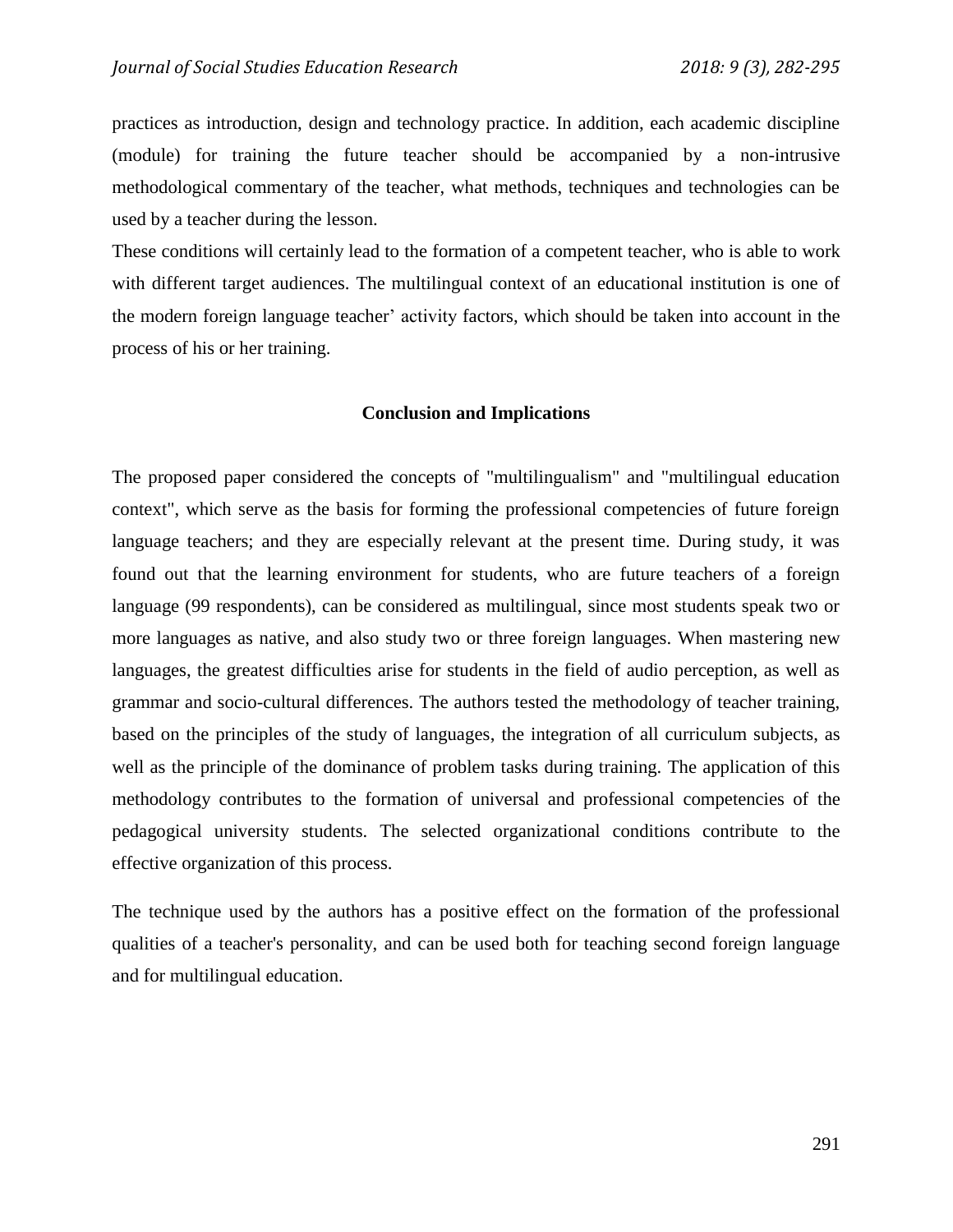practices as introduction, design and technology practice. In addition, each academic discipline (module) for training the future teacher should be accompanied by a non-intrusive methodological commentary of the teacher, what methods, techniques and technologies can be used by a teacher during the lesson.

These conditions will certainly lead to the formation of a competent teacher, who is able to work with different target audiences. The multilingual context of an educational institution is one of the modern foreign language teacher' activity factors, which should be taken into account in the process of his or her training.

### **Conclusion and Implications**

The proposed paper considered the concepts of "multilingualism" and "multilingual education context", which serve as the basis for forming the professional competencies of future foreign language teachers; and they are especially relevant at the present time. During study, it was found out that the learning environment for students, who are future teachers of a foreign language (99 respondents), can be considered as multilingual, since most students speak two or more languages as native, and also study two or three foreign languages. When mastering new languages, the greatest difficulties arise for students in the field of audio perception, as well as grammar and socio-cultural differences. The authors tested the methodology of teacher training, based on the principles of the study of languages, the integration of all curriculum subjects, as well as the principle of the dominance of problem tasks during training. The application of this methodology contributes to the formation of universal and professional competencies of the pedagogical university students. The selected organizational conditions contribute to the effective organization of this process.

The technique used by the authors has a positive effect on the formation of the professional qualities of a teacher's personality, and can be used both for teaching second foreign language and for multilingual education.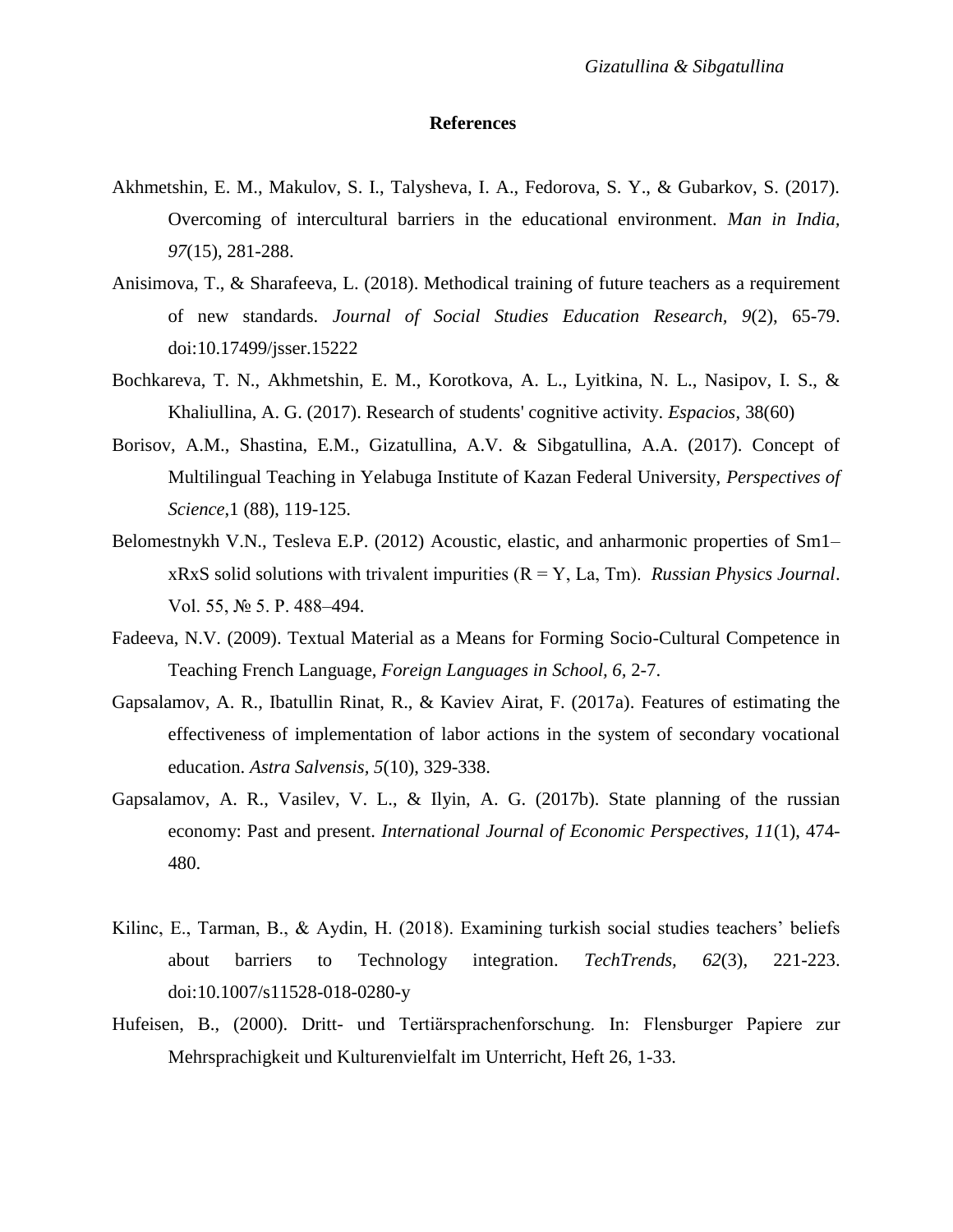## **References**

- Akhmetshin, E. M., Makulov, S. I., Talysheva, I. A., Fedorova, S. Y., & Gubarkov, S. (2017). Overcoming of intercultural barriers in the educational environment. *Man in India, 97*(15), 281-288.
- Anisimova, T., & Sharafeeva, L. (2018). Methodical training of future teachers as a requirement of new standards. *Journal of Social Studies Education Research, 9*(2), 65-79. doi:10.17499/jsser.15222
- Bochkareva, T. N., Akhmetshin, E. M., Korotkova, A. L., Lyitkina, N. L., Nasipov, I. S., & Khaliullina, A. G. (2017). Research of students' cognitive activity. *Espacios*, 38(60)
- Borisov, A.M., Shastina, E.M., Gizatullina, A.V. & Sibgatullina, A.A. (2017). Concept of Multilingual Teaching in Yelabuga Institute of Kazan Federal University, *Perspectives of Science*,1 (88), 119-125.
- Belomestnykh V.N., Tesleva E.P. (2012) Acoustic, elastic, and anharmonic properties of Sm1– xRxS solid solutions with trivalent impurities (R = Y, Lа, Tm). *Russian Physics Journal*. Vol. 55, № 5. P. 488–494.
- Fadeeva, N.V. (2009). Textual Material as a Means for Forming Socio-Cultural Competence in Teaching French Language, *Foreign Languages in School, 6,* 2-7.
- Gapsalamov, A. R., Ibatullin Rinat, R., & Kaviev Airat, F. (2017a). Features of estimating the effectiveness of implementation of labor actions in the system of secondary vocational education. *Astra Salvensis, 5*(10), 329-338.
- Gapsalamov, A. R., Vasilev, V. L., & Ilyin, A. G. (2017b). State planning of the russian economy: Past and present. *International Journal of Economic Perspectives, 11*(1), 474- 480.
- Kilinc, E., Tarman, B., & Aydin, H. (2018). Examining turkish social studies teachers' beliefs about barriers to Technology integration. *TechTrends, 62*(3), 221-223. doi:10.1007/s11528-018-0280-y
- Hufeisen, B., (2000). Dritt- und Tertiärsprachenforschung. In: Flensburger Papiere zur Mehrsprachigkeit und Kulturenvielfalt im Unterricht, Heft 26, 1-33.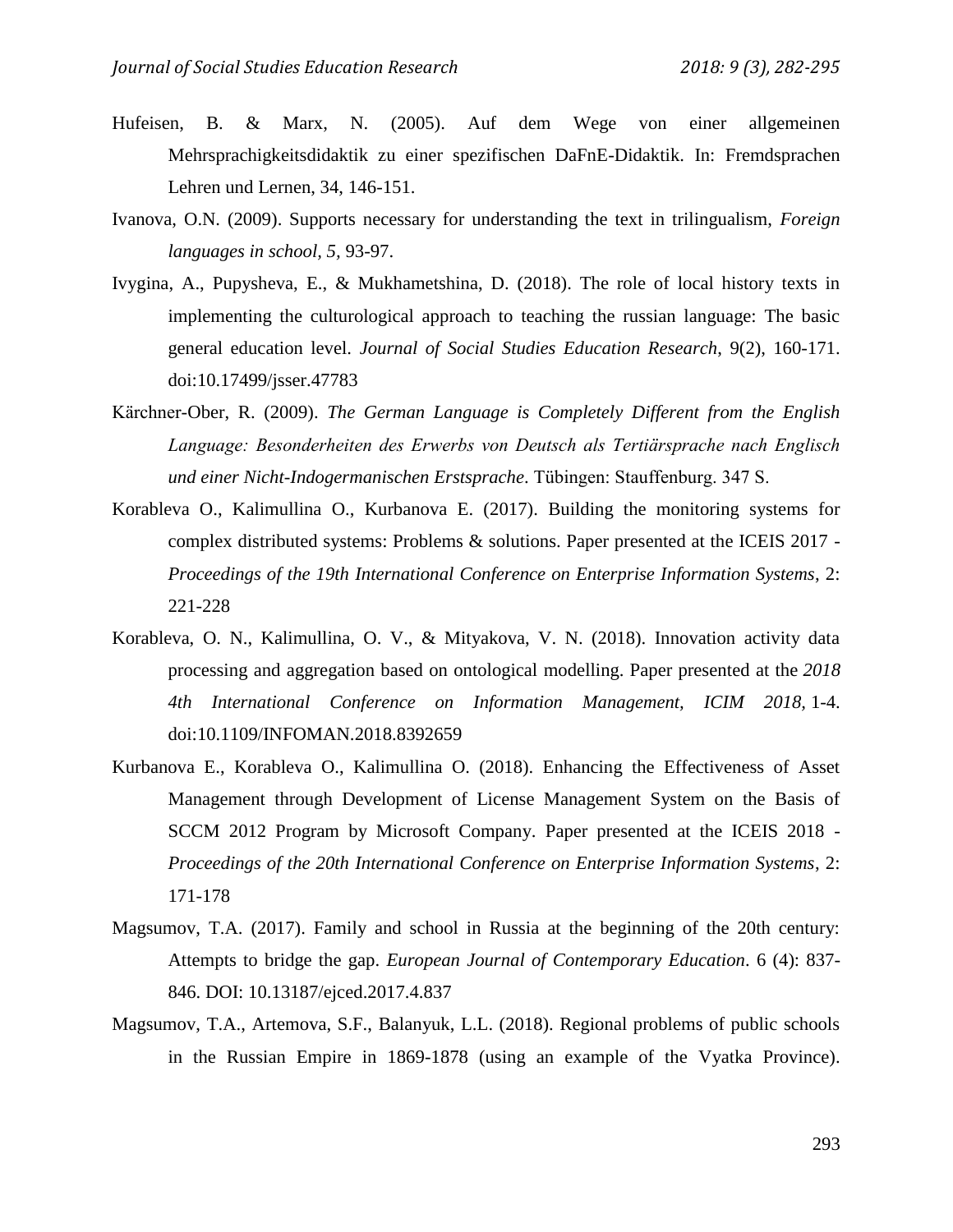- Hufeisen, B. & Marx, N. (2005). Auf dem Wege von einer allgemeinen Mehrsprachigkeitsdidaktik zu einer spezifischen DaFnE-Didaktik. In: Fremdsprachen Lehren und Lernen, 34, 146-151.
- Ivanova, O.N. (2009). Supports necessary for understanding the text in trilingualism, *Foreign languages in school, 5,* 93-97.
- Ivygina, A., Pupysheva, E., & Mukhametshina, D. (2018). The role of local history texts in implementing the culturological approach to teaching the russian language: The basic general education level. *Journal of Social Studies Education Research*, 9(2), 160-171. doi:10.17499/jsser.47783
- Kärchner-Ober, R. (2009). *The German Language is Completely Different from the English Language: Besonderheiten des Erwerbs von Deutsch als Tertiärsprache nach Englisch und einer Nicht-Indogermanischen Erstsprache*. Tübingen: Stauffenburg. 347 S.
- Korableva O., Kalimullina O., Kurbanova E. (2017). Building the monitoring systems for complex distributed systems: Problems & solutions. Paper presented at the ICEIS 2017 - *Proceedings of the 19th International Conference on Enterprise Information Systems*, 2: 221-228
- Korableva, O. N., Kalimullina, O. V., & Mityakova, V. N. (2018). Innovation activity data processing and aggregation based on ontological modelling. Paper presented at the *2018 4th International Conference on Information Management, ICIM 2018,* 1-4. doi:10.1109/INFOMAN.2018.8392659
- Kurbanova E., Korableva O., Kalimullina O. (2018). Enhancing the Effectiveness of Asset Management through Development of License Management System on the Basis of SCCM 2012 Program by Microsoft Company. Paper presented at the ICEIS 2018 - *Proceedings of the 20th International Conference on Enterprise Information Systems*, 2: 171-178
- Magsumov, T.A. (2017). Family and school in Russia at the beginning of the 20th century: Attempts to bridge the gap. *European Journal of Contemporary Education*. 6 (4): 837- 846. DOI: 10.13187/ejced.2017.4.837
- Magsumov, T.A., Artemova, S.F., Balanyuk, L.L. (2018). Regional problems of public schools in the Russian Empire in 1869-1878 (using an example of the Vyatka Province).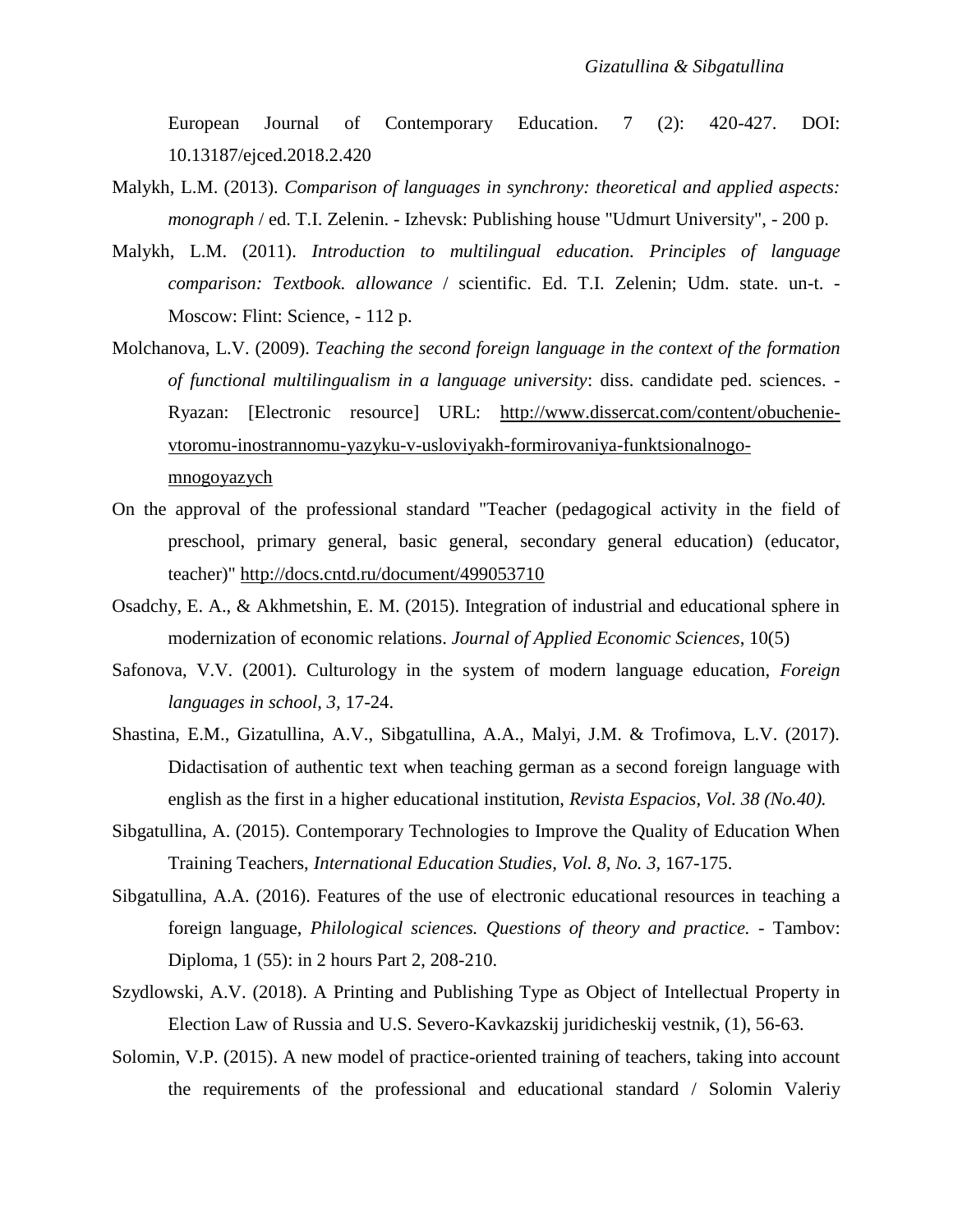European Journal of Contemporary Education. 7 (2): 420-427. DOI: 10.13187/ejced.2018.2.420

- Malykh, L.M. (2013). *Comparison of languages in synchrony: theoretical and applied aspects: monograph* / ed. T.I. Zelenin. - Izhevsk: Publishing house "Udmurt University", - 200 p.
- Malykh, L.M. (2011). *Introduction to multilingual education. Principles of language comparison: Textbook. allowance* / scientific. Ed. T.I. Zelenin; Udm. state. un-t. - Moscow: Flint: Science, - 112 p.
- Molchanova, L.V. (2009). *Teaching the second foreign language in the context of the formation of functional multilingualism in a language university*: diss. candidate ped. sciences. - Ryazan: [Electronic resource] URL: [http://www.dissercat.com/content/obuchenie](http://www.dissercat.com/content/obuchenie-vtoromu-inostrannomu-yazyku-v-usloviyakh-formirovaniya-funktsionalnogo-mnogoyazych)[vtoromu-inostrannomu-yazyku-v-usloviyakh-formirovaniya-funktsionalnogo](http://www.dissercat.com/content/obuchenie-vtoromu-inostrannomu-yazyku-v-usloviyakh-formirovaniya-funktsionalnogo-mnogoyazych)[mnogoyazych](http://www.dissercat.com/content/obuchenie-vtoromu-inostrannomu-yazyku-v-usloviyakh-formirovaniya-funktsionalnogo-mnogoyazych)
- On the approval of the professional standard "Teacher (pedagogical activity in the field of preschool, primary general, basic general, secondary general education) (educator, teacher)"<http://docs.cntd.ru/document/499053710>
- Osadchy, E. A., & Akhmetshin, E. M. (2015). Integration of industrial and educational sphere in modernization of economic relations. *Journal of Applied Economic Sciences*, 10(5)
- Safonova, V.V. (2001). Culturology in the system of modern language education, *Foreign languages in school, 3,* 17-24.
- Shastina, E.M., Gizatullina, A.V., Sibgatullina, A.A., Malyi, J.M. & Trofimova, L.V. (2017). Didactisation of authentic text when teaching german as a second foreign language with english as the first in a higher educational institution, *Revista Espacios, Vol. 38 (No.40).*
- Sibgatullina, A. (2015). Contemporary Technologies to Improve the Quality of Education When Training Teachers, *International Education Studies, Vol. 8, No. 3,* 167-175.
- Sibgatullina, A.A. (2016). Features of the use of electronic educational resources in teaching a foreign language, *Philological sciences. Questions of theory and practice.* - Tambov: Diploma, 1 (55): in 2 hours Part 2, 208-210.
- Szydlowski, A.V. (2018). A Printing and Publishing Type as Object of Intellectual Property in Election Law of Russia and U.S. Severo-Kavkazskij juridicheskij vestnik, (1), 56-63.
- Solomin, V.P. (2015). A new model of practice-oriented training of teachers, taking into account the requirements of the professional and educational standard / Solomin Valeriy